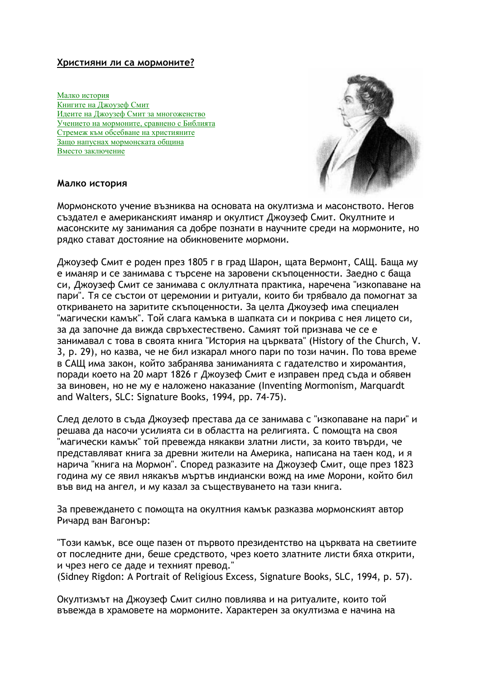## Християни ли са мормоните?

Малко история Книгите на Джоузеф Смит Идеите на Джоузеф Смит за многоженство Учението на мормоните, сравнено с Библията Стремеж към обсебване на християните Защо напуснах мормонската община Вместо заключение



### Малко история

Мормонското учение възниква на основата на окултизма и масонството. Негов създател е американският иманяр и окултист Джоузеф Смит. Окултните и масонските му занимания са добре познати в научните среди на мормоните, но рядко стават достояние на обикновените мормони.

Джоузеф Смит е роден през 1805 г в град Шарон, щата Вермонт, САЩ. Баща му е иманяр и се занимава с търсене на заровени скъпоценности. Заедно с баща си, Джоузеф Смит се занимава с оклултната практика, наречена "изкопаване на пари". Тя се състои от церемонии и ритуали, които би трябвало да помогнат за откриването на заритите скъпоценности. За целта Джоузеф има специален "магически камък". Той слага камъка в шапката си и покрива с нея лицето си, за да започне да вижда свръхестествено. Самият той признава че се е занимавал с това в своята книга "История на църквата" (History of the Church, V. 3, р. 29), но казва, че не бил изкарал много пари по този начин. По това време в САЩ има закон, който забранява заниманията с гадателство и хиромантия, поради което на 20 март 1826 г Джоузеф Смит е изправен пред съда и обявен за виновен, но не му е наложено наказание (Inventing Mormonism, Marquardt and Walters, SLC: Signature Books, 1994, pp. 74-75).

След делото в съда Джоузеф престава да се занимава с "изкопаване на пари" и решава да насочи усилията си в областта на религията. С помощта на своя "магически камък" той превежда някакви златни листи, за които твърди, че представляват книга за древни жители на Америка, написана на таен код, и я нарича "книга на Мормон". Според разказите на Джоузеф Смит, още през 1823 година му се явил някакъв мъртъв индиански вожд на име Морони, който бил във вид на ангел, и му казал за съществуването на тази книга.

За превеждането с помощта на окултния камък разказва мормонският автор Ричард ван Вагонър:

"Този камък, все още пазен от първото президентство на църквата на светиите от последните дни, беше средството, чрез което златните листи бяха открити, и чрез него се даде и техният превод."

(Sidney Rigdon: A Portrait of Religious Excess, Signature Books, SLC, 1994, p. 57).

Окултизмът на Джоузеф Смит силно повлиява и на ритуалите, които той въвежда в храмовете на мормоните. Характерен за окултизма е начина на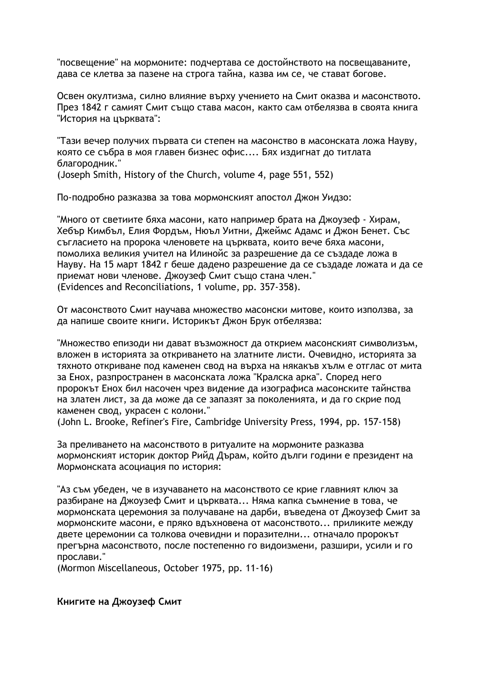"посвещение" на мормоните: подчертава се достойнството на посвещаваните, дава се клетва за пазене на строга тайна, казва им се, че стават богове.

Освен окултизма, силно влияние върху учението на Смит оказва и масонството. През 1842 г самият Смит също става масон, както сам отбелязва в своята книга "История на църквата":

"Тази вечер получих първата си степен на масонство в масонската ложа Науву, която се събра в моя главен бизнес офис.... Бях издигнат до титлата благородник." (Joseph Smith, History of the Church, volume 4, page 551, 552)

По-подробно разказва за това мормонският апостол Джон Уидзо:

"Много от светиите бяха масони, като например брата на Джоузеф - Хирам, Хебър Кимбъл, Елия Фордъм, Нюъл Уитни, Джеймс Адамс и Джон Бенет. Със съгласието на пророка членовете на църквата, които вече бяха масони, помолиха великия учител на Илинойс за разрешение да се създаде ложа в Науву. На 15 март 1842 г беше дадено разрешение да се създаде ложата и да се приемат нови членове. Джоузеф Смит също стана член." (Evidences and Reconciliations, 1 volume, pp. 357-358).

От масонството Смит научава множество масонски митове, които използва, за да напише своите книги. Историкът Джон Брук отбелязва:

"Множество епизоди ни дават възможност да открием масонският символизъм, вложен в историята за откриването на златните листи. Очевидно, историята за тяхното откриване под каменен свод на върха на някакъв хълм е отглас от мита за Енох, разпространен в масонската ложа "Кралска арка". Според него пророкът Енох бил насочен чрез видение да изографиса масонските тайнства на златен лист, за да може да се запазят за поколенията, и да го скрие под каменен свод, украсен с колони."

(John L. Brooke, Refiner's Fire, Cambridge University Press, 1994, pp. 157-158)

За преливането на масонството в ритуалите на мормоните разказва мормонският историк доктор Рийд Дърам, който дълги години е президент на Мормонската асоциация по история:

"Аз съм убеден, че в изучаването на масонството се крие главният ключ за разбиране на Джоузеф Смит и църквата... Няма капка съмнение в това, че мормонската церемония за получаване на дарби, въведена от Джоузеф Смит за мормонските масони, е пряко вдъхновена от масонството... приликите между двете церемонии са толкова очевидни и поразителни... отначало пророкът прегърна масонството, после постепенно го видоизмени, разшири, усили и го прослави."

(Mormon Miscellaneous, October 1975, pp. 11-16)

### Книгите на Джоузеф Смит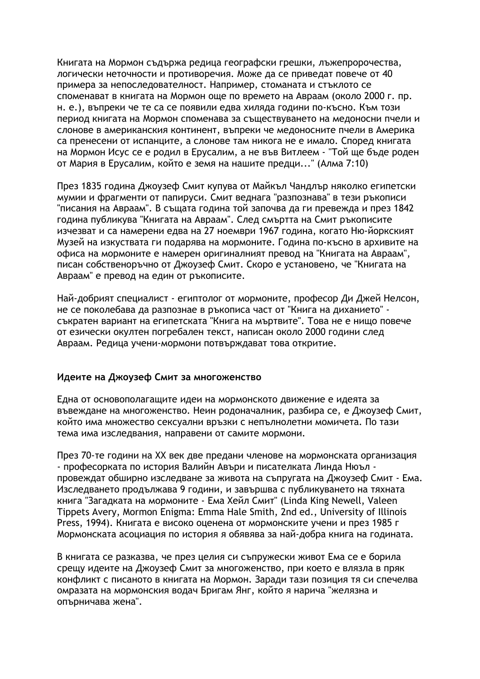Книгата на Мормон съдържа редица географски грешки, лъжепророчества, логически неточности и противоречия. Може да се приведат повече от 40 примера за непоследователност. Например, стоманата и стъклото се споменават в книгата на Мормон още по времето на Авраам (около 2000 г. пр. н. е.), въпреки че те са се появили едва хиляда години по-късно. Към този период книгата на Мормон споменава за съществуването на медоносни пчели и слонове в американския континент, въпреки че медоносните пчели в Америка са пренесени от испанците, а слонове там никога не е имало. Според книгата на Мормон Исус се е родил в Ерусалим, а не във Витлеем - "Той ще бъде роден от Мария в Ерусалим, който е земя на нашите предци..." (Алма 7:10)

През 1835 година Джоузеф Смит купува от Майкъл Чандлър няколко египетски мумии и фрагменти от папируси. Смит веднага "разпознава" в тези ръкописи "писания на Авраам". В същата година той започва да ги превежда и през 1842 година публикува "Книгата на Авраам". След смъртта на Смит ръкописите изчезват и са намерени едва на 27 ноември 1967 година, когато Ню-йоркският Музей на изкуствата ги подарява на мормоните. Година по-късно в архивите на офиса на мормоните е намерен оригиналният превод на "Книгата на Авраам", писан собственоръчно от Джоузеф Смит. Скоро е установено, че "Книгата на Авраам" е превод на един от ръкописите.

Най-добрият специалист - египтолог от мормоните, професор Ди Джей Нелсон, не се поколебава да разпознае в ръкописа част от "Книга на диханието" съкратен вариант на египетската "Книга на мъртвите". Това не е нищо повече от езически окултен погребален текст, написан около 2000 години след Авраам. Редица учени-мормони потвърждават това откритие.

# Идеите на Джоузеф Смит за многоженство

Една от основополагащите идеи на мормонското движение е идеята за въвеждане на многоженство. Неин родоначалник, разбира се, е Джоузеф Смит, който има множество сексуални връзки с непълнолетни момичета. По тази тема има изследвания, направени от самите мормони.

През 70-те години на XX век две предани членове на мормонската организация - професорката по история Валийн Авъри и писателката Линда Нюъл провеждат обширно изследване за живота на съпругата на Джоузеф Смит - Ема. Изследването продължава 9 години, и завършва с публикуването на тяхната книга "Загадката на мормоните - Ема Хейл Смит" (Linda King Newell, Valeen Tippets Avery, Mormon Enigma: Emma Hale Smith, 2nd ed., University of Illinois Press, 1994). Книгата е високо оценена от мормонските учени и през 1985 г Мормонската асоциация по история я обявява за най-добра книга на годината.

В книгата се разказва, че през целия си съпружески живот Ема се е борила срещу идеите на Джоузеф Смит за многоженство, при което е влязла в пряк конфликт с писаното в книгата на Мормон. Заради тази позиция тя си спечелва омразата на мормонския водач Бригам Янг, който я нарича "желязна и опърничава жена".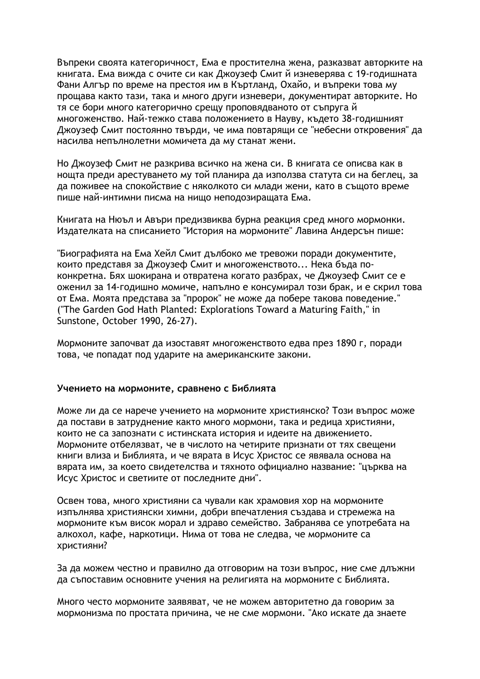Въпреки своята категоричност, Ема е простителна жена, разказват авторките на книгата. Ема вижда с очите си как Джоузеф Смит й изневерява с 19-годишната Фани Алгър по време на престоя им в Къртланд, Охайо, и въпреки това му прощава както тази, така и много други изневери, документират авторките. Но тя се бори много категорично срещу проповядваното от съпруга й многоженство. Най-тежко става положението в Науву, където 38-годишният Джоузеф Смит постоянно твърди, че има повтарящи се "небесни откровения" да насилва непълнолетни момичета да му станат жени.

Но Джоузеф Смит не разкрива всичко на жена си. В книгата се описва как в нощта преди арестуването му той планира да използва статута си на беглец, за да поживее на спокойствие с няколкото си млади жени, като в същото време пише най-интимни писма на нищо неподозиращата Ема.

Книгата на Нюъл и Авъри предизвиква бурна реакция сред много мормонки. Издателката на списанието "История на мормоните" Лавина Андерсън пише:

"Биографията на Ема Хейл Смит дълбоко ме тревожи поради документите, които представя за Джоузеф Смит и многоженството... Нека бъда поконкретна. Бях шокирана и отвратена когато разбрах, че Джоузеф Смит се е оженил за 14-годишно момиче, напълно е консумирал този брак, и е скрил това от Ема. Моята представа за "пророк" не може да побере такова поведение." ("The Garden God Hath Planted: Explorations Toward a Maturing Faith," in Sunstone, October 1990, 26-27).

Мормоните започват да изоставят многоженството едва през 1890 г. поради това, че попадат под ударите на американските закони.

### Учението на мормоните, сравнено с Библията

Може ли да се нарече учението на мормоните християнско? Този въпрос може да постави в затруднение както много мормони, така и редица християни, които не са запознати с истинската история и идеите на движението. Мормоните отбелязват, че в числото на четирите признати от тях свещени книги влиза и Библията, и че вярата в Исус Христос се явявала основа на вярата им, за което свидетелства и тяхното официално название: "църква на Исус Христос и светиите от последните дни".

Освен това, много християни са чували как храмовия хор на мормоните изпълнява християнски химни, добри впечатления създава и стремежа на мормоните към висок морал и здраво семейство. Забранява се употребата на алкохол, кафе, наркотици. Нима от това не следва, че мормоните са християни?

За да можем честно и правилно да отговорим на този въпрос, ние сме длъжни да съпоставим основните учения на религията на мормоните с Библията.

Много често мормоните заявяват, че не можем авторитетно да говорим за мормонизма по простата причина, че не сме мормони. "Ако искате да знаете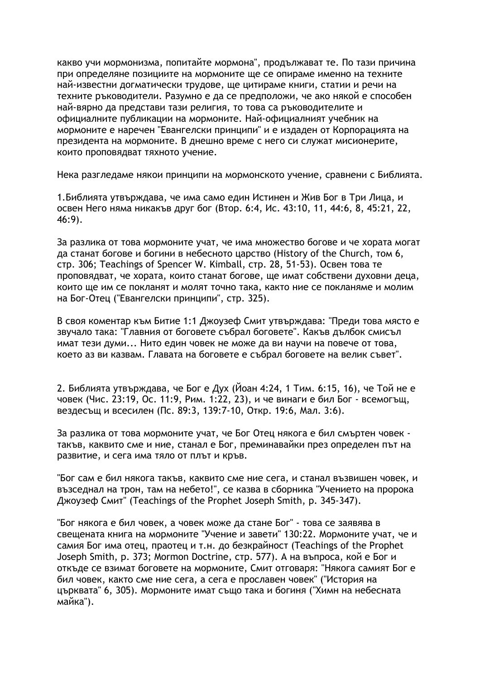какво учи мормонизма, попитайте мормона", продължават те. По тази причина при определяне позициите на мормоните ще се опираме именно на техните най-известни догматически трудове, ще цитираме книги, статии и речи на техните ръководители. Разумно е да се предположи, че ако някой е способен най-вярно да представи тази религия, то това са ръководителите и официалните публикации на мормоните. Най-официалният учебник на мормоните е наречен "Евангелски принципи" и е издаден от Корпорацията на президента на мормоните. В днешно време с него си служат мисионерите, които проповядват тяхното учение.

Нека разгледаме някои принципи на мормонското учение, сравнени с Библията.

1. Библията утвърждава, че има само един Истинен и Жив Бог в Три Лица, и освен Него няма никакъв друг бог (Втор. 6:4, Ис. 43:10, 11, 44:6, 8, 45:21, 22,  $46:9$ ).

За разлика от това мормоните учат, че има множество богове и че хората могат да станат богове и богини в небесното царство (History of the Church, том 6, стр. 306; Teachings of Spencer W. Kimball, стр. 28, 51-53). Освен това те проповядват, че хората, които станат богове, ще имат собствени духовни деца, които ше им се покланят и молят точно така, както ние се покланяме и молим на Бог-Отец ("Евангелски принципи", стр. 325).

В своя коментар към Битие 1:1 Джоузеф Смит утвърждава: "Преди това място е звучало така: "Главния от боговете събрал боговете". Какъв дълбок смисъл имат тези думи... Нито един човек не може да ви научи на повече от това, което аз ви казвам. Главата на боговете е събрал боговете на велик съвет".

2. Библията утвърждава, че Бог е Дух (Йоан 4:24, 1 Тим. 6:15, 16), че Той не е човек (Чис. 23:19, Ос. 11:9, Рим. 1:22, 23), и че винаги е бил Бог - всемогъщ, вездесъщ и всесилен (Пс. 89:3, 139:7-10, Откр. 19:6, Мал. 3:6).

За разлика от това мормоните учат, че Бог Отец някога е бил смъртен човек такъв, каквито сме и ние, станал е Бог, преминавайки през определен път на развитие, и сега има тяло от плът и кръв.

"Бог сам е бил някога такъв, каквито сме ние сега, и станал възвишен човек, и възседнал на трон, там на небето!", се казва в сборника "Учението на пророка Джоузеф Смит" (Teachings of the Prophet Joseph Smith, p. 345-347).

"Бог някога е бил човек, а човек може да стане Бог" - това се заявява в свещената книга на мормоните "Учение и завети" 130:22. Мормоните учат, че и самия Бог има отец, праотец и т.н. до безкрайност (Teachings of the Prophet Joseph Smith, p. 373; Mormon Doctrine, стр. 577). А на въпроса, кой е Бог и откъде се взимат боговете на мормоните, Смит отговаря: "Някога самият Бог е бил човек, както сме ние сега, а сега е прославен човек" ("История на църквата" 6, 305). Мормоните имат също така и богиня ("Химн на небесната майка").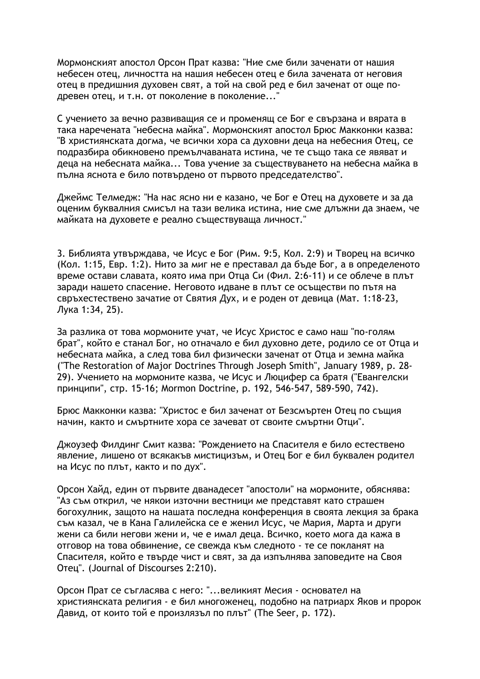Мормонският апостол Орсон Прат казва: "Ние сме били заченати от нашия небесен отец, личността на нашия небесен отец е била зачената от неговия отец в предишния духовен свят, а той на свой ред е бил заченат от още подревен отец, и т.н. от поколение в поколение..."

С учението за вечно развиващия се и променящ се Бог е свързана и вярата в така наречената "небесна майка". Мормонският апостол Брюс Макконки казва: "В християнската догма, че всички хора са духовни деца на небесния Отец, се подразбира обикновено премълчаваната истина, че те също така се явяват и деца на небесната майка... Това учение за съществуването на небесна майка в пълна яснота е било потвърдено от първото председателство".

Джеймс Телмедж: "На нас ясно ни е казано, че Бог е Отец на духовете и за да оценим буквалния смисъл на тази велика истина, ние сме длъжни да знаем, че майката на духовете е реално съществуваща личност."

3. Библията утвърждава, че Исус е Бог (Рим. 9:5, Кол. 2:9) и Творец на всичко (Кол. 1:15, Евр. 1:2). Нито за миг не е преставал да бъде Бог, а в определеното време остави славата, която има при Отца Си (Фил. 2:6-11) и се облече в плът заради нашето спасение. Неговото идване в плът се осъществи по пътя на свръхестествено зачатие от Святия Дух, и е роден от девица (Мат. 1:18-23, Лука 1:34, 25).

За разлика от това мормоните учат, че Исус Христос е само наш "по-голям брат", който е станал Бог, но отначало е бил духовно дете, родило се от Отца и небесната майка, а след това бил физически заченат от Отца и земна майка ("The Restoration of Major Doctrines Through Joseph Smith", January 1989, p. 28-29). Учението на мормоните казва, че Исус и Люцифер са братя ("Евангелски принципи", стр. 15-16; Mormon Doctrine, p. 192, 546-547, 589-590, 742).

Брюс Макконки казва: "Христос е бил заченат от Безсмъртен Отец по същия начин, както и смъртните хора се зачеват от своите смъртни Отци".

Джоузеф Филдинг Смит казва: "Рождението на Спасителя е било естествено явление, лишено от всякакъв мистицизъм, и Отец Бог е бил буквален родител на Исус по плът, както и по дух".

Орсон Хайд, един от първите дванадесет "апостоли" на мормоните, обяснява: "Аз съм открил, че някои източни вестници ме представят като страшен богохулник, защото на нашата последна конференция в своята лекция за брака съм казал, че в Кана Галилейска се е женил Исус, че Мария, Марта и други жени са били негови жени и, че е имал деца. Всичко, което мога да кажа в отговор на това обвинение, се свежда към следното - те се покланят на Спасителя, който е твърде чист и свят, за да изпълнява заповедите на Своя Отец". (Journal of Discourses 2:210).

Орсон Прат се съгласява с него: "...великият Месия - основател на християнската религия - е бил многоженец, подобно на патриарх Яков и пророк Давид, от които той е произлязъл по плът" (The Seer, p. 172).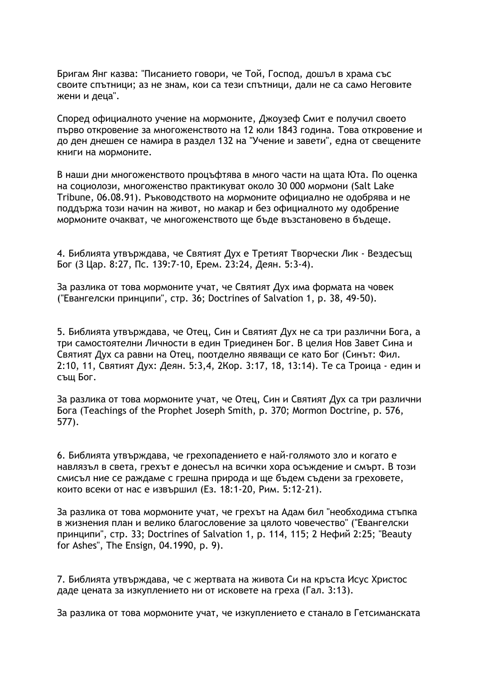Бригам Янг казва: "Писанието говори, че Той, Господ, дошъл в храма със своите спътници; аз не знам, кои са тези спътници, дали не са само Неговите жени и деца".

Според официалното учение на мормоните, Джоузеф Смит е получил своето първо откровение за многоженството на 12 юли 1843 година. Това откровение и до ден днешен се намира в раздел 132 на "Учение и завети", една от свещените книги на мормоните.

В наши дни многоженството процъфтява в много части на щата Юта. По оценка на социолози, многоженство практикуват около 30 000 мормони (Salt Lake Tribune, 06.08.91). Ръководството на мормоните официално не одобрява и не поддържа този начин на живот, но макар и без официалното му одобрение мормоните очакват, че многоженството ще бъде възстановено в бъдеще.

4. Библията утвърждава, че Святият Дух е Третият Творчески Лик - Вездесъщ Бог (3 Цар. 8:27, Пс. 139:7-10, Ерем. 23:24, Деян. 5:3-4).

За разлика от това мормоните учат, че Святият Дух има формата на човек ("Евангелски принципи", стр. 36; Doctrines of Salvation 1, р. 38, 49-50).

5. Библията утвърждава, че Отец, Син и Святият Дух не са три различни Бога, а три самостоятелни Личности в един Триединен Бог. В целия Нов Завет Сина и Святият Дух са равни на Отец, поотделно явяващи се като Бог (Синът: Фил. 2:10, 11, Святият Дух: Деян. 5:3,4, 2Кор. 3:17, 18, 13:14). Те са Троица - един и същ Бог.

За разлика от това мормоните учат, че Отец, Син и Святият Дух са три различни Bora (Teachings of the Prophet Joseph Smith, p. 370; Mormon Doctrine, p. 576,  $577$ ).

6. Библията утвърждава, че грехопадението е най-голямото зло и когато е навлязъл в света, грехът е донесъл на всички хора осъждение и смърт. В този смисъл ние се раждаме с грешна природа и ще бъдем съдени за греховете, които всеки от нас е извършил (Ез. 18:1-20, Рим. 5:12-21).

За разлика от това мормоните учат, че грехът на Адам бил "необходима стъпка в жизнения план и велико благословение за цялото човечество" ("Евангелски принципи", стр. 33; Doctrines of Salvation 1, p. 114, 115; 2 Нефий 2:25; "Beauty for Ashes", The Ensign, 04.1990, p. 9).

7. Библията утвърждава, че с жертвата на живота Си на кръста Исус Христос даде цената за изкуплението ни от исковете на греха (Гал. 3:13).

За разлика от това мормоните учат, че изкуплението е станало в Гетсиманската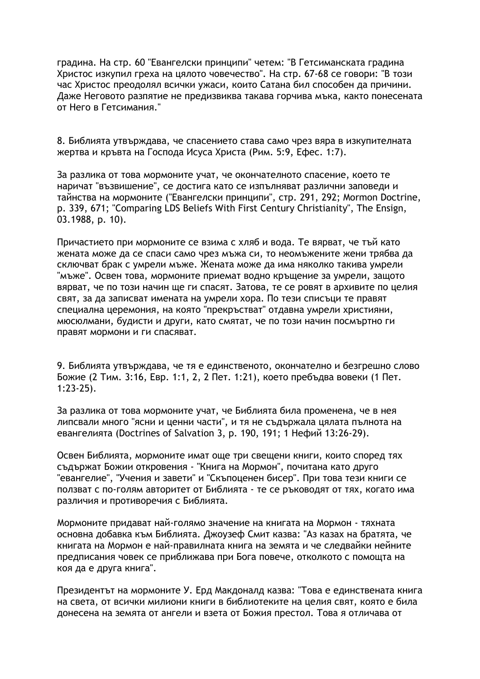градина. На стр. 60 "Евангелски принципи" четем: "В Гетсиманската градина Христос изкупил греха на цялото човечество". На стр. 67-68 се говори: "В този час Христос преодолял всички ужаси, които Сатана бил способен да причини. Даже Неговото разпятие не предизвиква такава горчива мъка, както понесената от Него в Гетсимания."

8. Библията утвърждава, че спасението става само чрез вяра в изкупителната жертва и кръвта на Господа Исуса Христа (Рим. 5:9, Ефес. 1:7).

За разлика от това мормоните учат, че окончателното спасение, което те наричат "възвишение", се достига като се изпълняват различни заповеди и тайнства на мормоните ("Евангелски принципи", стр. 291, 292; Mormon Doctrine, p. 339, 671; "Comparing LDS Beliefs With First Century Christianity", The Ensign,  $03.1988$ , p. 10).

Причастието при мормоните се взима с хляб и вода. Те вярват, че тъй като жената може да се спаси само чрез мъжа си, то неомъжените жени трябва да сключват брак с умрели мъже. Жената може да има няколко такива умрели "мъже". Освен това, мормоните приемат водно кръщение за умрели, защото вярват, че по този начин ше ги спасят. Затова, те се ровят в архивите по целия свят, за да записват имената на умрели хора. По тези списъци те правят специална церемония, на която "прекръстват" отдавна умрели християни, мюсюлмани, будисти и други, като смятат, че по този начин посмъртно ги правят мормони и ги спасяват.

9. Библията утвърждава, че тя е единственото, окончателно и безгрешно слово Божие (2 Тим. 3:16, Евр. 1:1, 2, 2 Пет. 1:21), което пребъдва вовеки (1 Пет.  $1:23-25$ ).

За разлика от това мормоните учат, че Библията била променена, че в нея липсвали много "ясни и ценни части", и тя не съдържала цялата пълнота на евангелията (Doctrines of Salvation 3, p. 190, 191; 1 Нефий 13:26-29).

Освен Библията, мормоните имат още три свещени книги, които според тях съдържат Божии откровения - "Книга на Мормон", почитана като друго "евангелие", "Учения и завети" и "Скъпоценен бисер". При това тези книги се ползват с по-голям авторитет от Библията - те се ръководят от тях, когато има различия и противоречия с Библията.

Мормоните придават най-голямо значение на книгата на Мормон - тяхната основна добавка към Библията. Джоузеф Смит казва: "Аз казах на братята, че книгата на Мормон е най-правилната книга на земята и че следвайки нейните предписания човек се приближава при Бога повече, отколкото с помощта на коя да е друга книга".

Президентът на мормоните У. Ерд Макдоналд казва: "Това е единствената книга на света, от всички милиони книги в библиотеките на целия свят, която е била донесена на земята от ангели и взета от Божия престол. Това я отличава от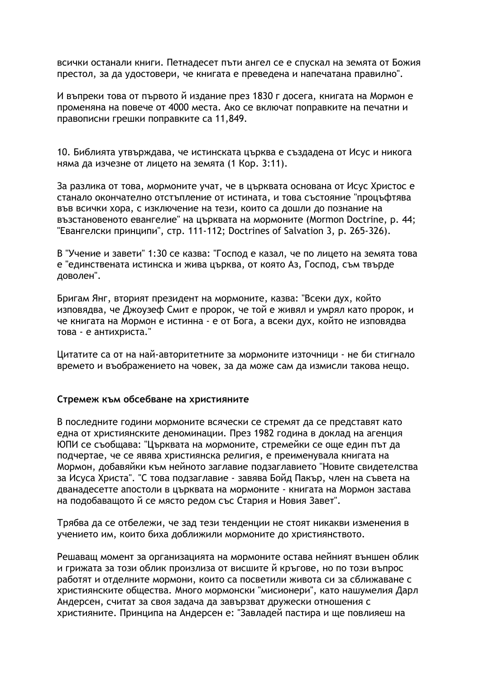всички останали книги. Петнадесет пъти ангел се е спускал на земята от Божия престол, за да удостовери, че книгата е преведена и напечатана правилно".

И въпреки това от първото й издание през 1830 г досега, книгата на Мормон е променяна на повече от 4000 места. Ако се включат поправките на печатни и правописни грешки поправките са 11,849.

10. Библията утвърждава, че истинската църква е създадена от Исус и никога няма да изчезне от лицето на земята (1 Кор. 3:11).

За разлика от това, мормоните учат, че в църквата основана от Исус Христос е станало окончателно отстъпление от истината, и това състояние "процъфтява във всички хора, с изключение на тези, които са дошли до познание на възстановеното евангелие" на църквата на мормоните (Mormon Doctrine, p. 44; "Евангелски принципи", стр. 111-112; Doctrines of Salvation 3, р. 265-326).

В "Учение и завети" 1:30 се казва: "Господ е казал, че по лицето на земята това е "единствената истинска и жива църква, от която Аз, Господ, съм твърде доволен".

Бригам Янг, вторият президент на мормоните, казва: "Всеки дух, който изповядва, че Джоузеф Смит е пророк, че той е живял и умрял като пророк, и че книгата на Мормон е истинна - е от Бога, а всеки дух, който не изповядва това - е антихриста."

Цитатите са от на най-авторитетните за мормоните източници - не би стигнало времето и въображението на човек, за да може сам да измисли такова нещо.

### Стремеж към обсебване на християните

В последните години мормоните всячески се стремят да се представят като една от християнските деноминации. През 1982 година в доклад на агенция ЮПИ се съобщава: "Църквата на мормоните, стремейки се още един път да подчертае, че се явява християнска религия, е преименувала книгата на Мормон, добавяйки към нейното заглавие подзаглавието "Новите свидетелства за Исуса Христа". "С това подзаглавие - завява Бойд Пакър, член на съвета на дванадесетте апостоли в църквата на мормоните - книгата на Мормон застава на подобаващото й се място редом със Стария и Новия Завет".

Трябва да се отбележи, че зад тези тенденции не стоят никакви изменения в учението им, които биха доближили мормоните до християнството.

Решаващ момент за организацията на мормоните остава нейният външен облик и грижата за този облик произлиза от висшите й кръгове, но по този въпрос работят и отделните мормони, които са посветили живота си за сближаване с християнските общества. Много мормонски "мисионери", като нашумелия Дарл Андерсен, считат за своя задача да завързват дружески отношения с християните. Принципа на Андерсен е: "Завладей пастира и ше повлияеш на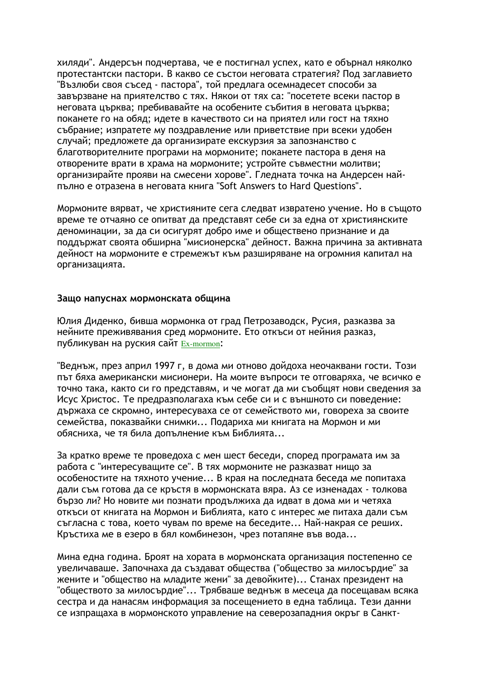хиляди". Андерсън подчертава, че е постигнал успех, като е обърнал няколко протестантски пастори. В какво се състои неговата стратегия? Под заглавието "Възлюби своя съсед - пастора", той предлага осемнадесет способи за завързване на приятелство с тях. Някои от тях са: "посетете всеки пастор в неговата църква; пребивавайте на особените събития в неговата църква; поканете го на обяд; идете в качеството си на приятел или гост на тяхно събрание; изпратете му поздравление или приветствие при всеки удобен случай; предложете да организирате екскурзия за запознанство с благотворителните програми на мормоните; поканете пастора в деня на отворените врати в храма на мормоните; устройте съвместни молитви; организирайте прояви на смесени хорове". Гледната точка на Андерсен найпълно е отразена в неговата книга "Soft Answers to Hard Questions".

Мормоните вярват, че християните сега следват извратено учение. Но в същото време те отчаяно се опитват да представят себе си за една от християнските деноминации, за да си осигурят добро име и обществено признание и да поддържат своята обширна "мисионерска" дейност. Важна причина за активната дейност на мормоните е стремежът към разширяване на огромния капитал на организацията.

### Защо напуснах мормонската община

Юлия Диденко, бивша мормонка от град Петрозаводск, Русия, разказва за нейните преживявания сред мормоните. Ето откъси от нейния разказ, публикуван на руския сайт Ex-mormon:

"Веднъж, през април 1997 г, в дома ми отново дойдоха неочаквани гости. Този път бяха американски мисионери. На моите въпроси те отговаряха, че всичко е точно така, както си го представям, и че могат да ми съобщят нови сведения за Исус Христос. Те предразполагаха към себе си и с външното си поведение: държаха се скромно, интересуваха се от семейството ми, говореха за своите семейства, показвайки снимки... Подариха ми книгата на Мормон и ми обясниха, че тя била допълнение към Библията...

За кратко време те проведоха с мен шест беседи, според програмата им за работа с "интересуващите се". В тях мормоните не разказват нищо за особеностите на тяхното учение... В края на последната беседа ме попитаха дали съм готова да се кръстя в мормонската вяра. Аз се изненадах - толкова бързо ли? Но новите ми познати продължиха да идват в дома ми и четяха откъси от книгата на Мормон и Библията, като с интерес ме питаха дали съм съгласна с това, което чувам по време на беседите... Най-накрая се реших. Кръстиха ме в езеро в бял комбинезон, чрез потапяне във вода...

Мина една година. Броят на хората в мормонската организация постепенно се увеличаваше. Започнаха да създават общества ("общество за милосърдие" за жените и "общество на младите жени" за девойките)... Станах президент на "обществото за милосърдие"... Трябваше веднъж в месеца да посещавам всяка сестра и да нанасям информация за посещението в една таблица. Тези данни се изпрашаха в мормонското управление на северозападния окръг в Санкт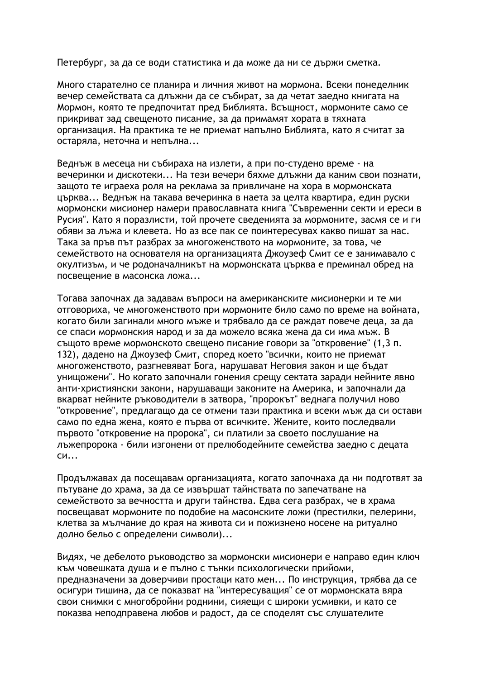Петербург, за да се води статистика и да може да ни се държи сметка.

Много старателно се планира и личния живот на мормона. Всеки понеделник вечер семействата са длъжни да се събират, за да четат заедно книгата на Мормон, която те предпочитат пред Библията. Всъщност, мормоните само се прикриват зад свещеното писание, за да примамят хората в тяхната организация. На практика те не приемат напълно Библията, като я считат за остаряла, неточна и непълна...

Веднъж в месеца ни събираха на излети, а при по-студено време - на вечеринки и дискотеки... На тези вечери бяхме длъжни да каним свои познати, защото те играеха роля на реклама за привличане на хора в мормонската църква... Веднъж на такава вечеринка в наета за целта квартира, един руски мормонски мисионер намери православната книга "Съвременни секти и ереси в Русия". Като я поразлисти, той прочете сведенията за мормоните, засмя се и ги обяви за лъжа и клевета. Но аз все пак се поинтересувах какво пишат за нас. Така за пръв път разбрах за многоженството на мормоните, за това, че семейството на основателя на организацията Джоузеф Смит се е занимавало с окултизъм, и че родоначалникът на мормонската църква е преминал обред на посвещение в масонска ложа...

Тогава започнах да задавам въпроси на американските мисионерки и те ми отговориха, че многоженството при мормоните било само по време на войната, когато били загинали много мъже и трябвало да се раждат повече деца, за да се спаси мормонския народ и за да можело всяка жена да си има мъж. В същото време мормонското свещено писание говори за "откровение" (1,3 п. 132), дадено на Джоузеф Смит, според което "всички, които не приемат многоженството, разгневяват Бога, нарушават Неговия закон и ще бъдат унищожени". Но когато започнали гонения срещу сектата заради нейните явно анти-християнски закони, нарушаващи законите на Америка, и започнали да вкарват нейните ръководители в затвора, "пророкът" веднага получил ново "откровение", предлагащо да се отмени тази практика и всеки мъж да си остави само по една жена, която е първа от всичките. Жените, които последвали първото "откровение на пророка", си платили за своето послушание на лъжепророка - били изгонени от прелюбодейните семейства заедно с децата  $CM...$ 

Продължавах да посещавам организацията, когато започнаха да ни подготвят за пътуване до храма, за да се извършат тайнствата по запечатване на семейството за вечността и други тайнства. Едва сега разбрах, че в храма посвещават мормоните по подобие на масонските ложи (престилки, пелерини, клетва за мълчание до края на живота си и пожизнено носене на ритуално долно бельо с определени символи)...

Видях, че дебелото ръководство за мормонски мисионери е направо един ключ към човешката душа и е пълно с тънки психологически прийоми, предназначени за доверчиви простаци като мен... По инструкция, трябва да се осигури тишина, да се показват на "интересуващия" се от мормонската вяра свои снимки с многобройни роднини, сияещи с широки усмивки, и като се показва неподправена любов и радост, да се споделят със слушателите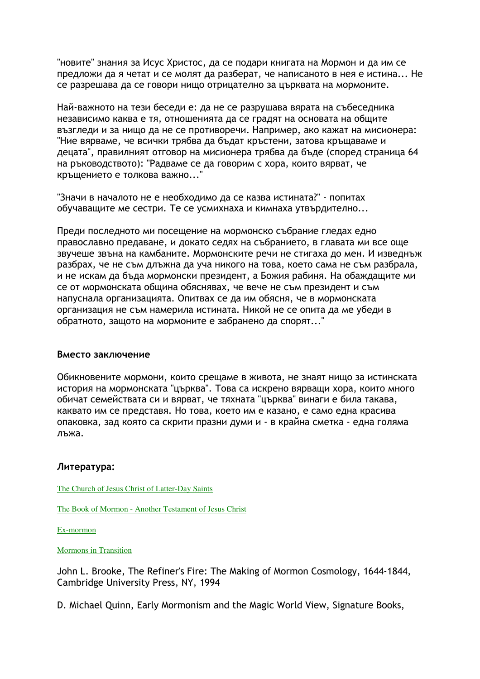"новите" знания за Исус Христос, да се подари книгата на Мормон и да им се предложи да я четат и се молят да разберат, че написаното в нея е истина... Не се разрешава да се говори нищо отрицателно за църквата на мормоните.

Най-важното на тези беседи е: да не се разрушава вярата на събеседника независимо каква е тя, отношенията да се градят на основата на общите възгледи и за нищо да не се противоречи. Например, ако кажат на мисионера: "Ние вярваме, че всички трябва да бъдат кръстени, затова кръщаваме и децата", правилният отговор на мисионера трябва да бъде (според страница 64 на ръководството): "Радваме се да говорим с хора, които вярват, че кръщението е толкова важно..."

"Значи в началото не е необходимо да се казва истината?" - попитах обучаващите ме сестри. Те се усмихнаха и кимнаха утвърдително...

Преди последното ми посещение на мормонско събрание гледах едно православно предаване, и докато седях на събранието, в главата ми все още звучеше звъна на камбаните. Мормонските речи не стигаха до мен. И изведнъж разбрах, че не съм длъжна да уча никого на това, което сама не съм разбрала, и не искам да бъда мормонски президент, а Божия рабиня. На обаждащите ми се от мормонската община обяснявах, че вече не съм президент и съм напуснала организацията. Опитвах се да им обясня, че в мормонската организация не съм намерила истината. Никой не се опита да ме убеди в обратното, защото на мормоните е забранено да спорят..."

### Вместо заключение

Обикновените мормони, които срещаме в живота, не знаят нищо за истинската история на мормонската "църква". Това са искрено вярващи хора, които много обичат семействата си и вярват, че тяхната "църква" винаги е била такава, каквато им се представя. Но това, което им е казано, е само една красива опаковка, зад която са скрити празни думи и - в крайна сметка - една голяма лъжа.

### Литература:

The Church of Jesus Christ of Latter-Day Saints

The Book of Mormon - Another Testament of Jesus Christ

Ex-mormon

**Mormons** in Transition

John L. Brooke, The Refiner's Fire: The Making of Mormon Cosmology, 1644-1844, Cambridge University Press, NY, 1994

D. Michael Quinn, Early Mormonism and the Magic World View, Signature Books,